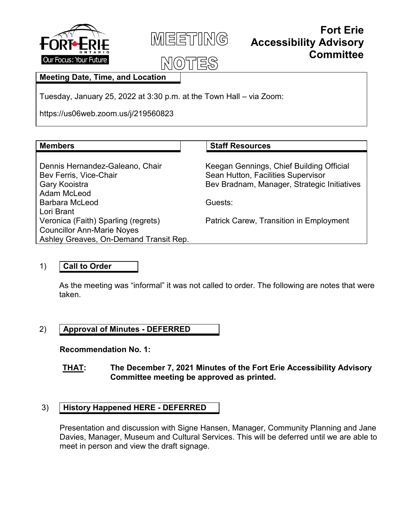



#### **Fort Erie Accessibility Advisory Committee**

#### $|\lambda|(0)$

#### **Meeting Date, Time, and Location**

Tuesday, January 25, 2022 at 3:30 p.m. at the Town Hall – via Zoom:

https://us06web.zoom.us/j/219560823

| <b>Members</b> |  |
|----------------|--|
|                |  |

#### **Staff Resources**

Dennis Hernandez-Galeano, Chair Bev Ferris, Vice-Chair Gary Kooistra Adam McLeod Barbara McLeod Lori Brant Veronica (Faith) Sparling (regrets) Councillor Ann-Marie Noyes Ashley Greaves, On-Demand Transit Rep. Keegan Gennings, Chief Building Official Sean Hutton, Facilities Supervisor Bev Bradnam, Manager, Strategic Initiatives

Guests:

Patrick Carew, Transition in Employment

#### 1) **Call to Order**

As the meeting was "informal" it was not called to order. The following are notes that were taken.

#### 2) **Approval of Minutes - DEFERRED**

**Recommendation No. 1:**

**THAT: The December 7, 2021 Minutes of the Fort Erie Accessibility Advisory Committee meeting be approved as printed.**

#### 3) **History Happened HERE - DEFERRED**

Presentation and discussion with Signe Hansen, Manager, Community Planning and Jane Davies, Manager, Museum and Cultural Services. This will be deferred until we are able to meet in person and view the draft signage.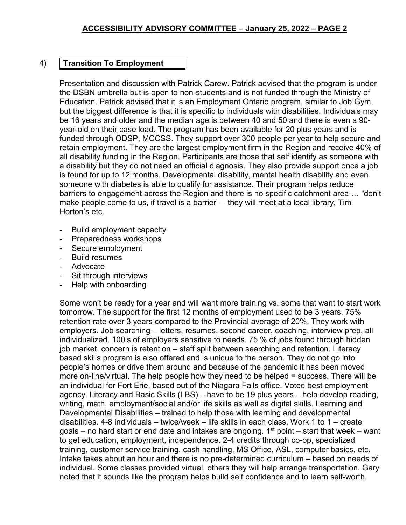#### 4) **Transition To Employment**

Presentation and discussion with Patrick Carew. Patrick advised that the program is under the DSBN umbrella but is open to non-students and is not funded through the Ministry of Education. Patrick advised that it is an Employment Ontario program, similar to Job Gym, but the biggest difference is that it is specific to individuals with disabilities. Individuals may be 16 years and older and the median age is between 40 and 50 and there is even a 90 year-old on their case load. The program has been available for 20 plus years and is funded through ODSP, MCCSS. They support over 300 people per year to help secure and retain employment. They are the largest employment firm in the Region and receive 40% of all disability funding in the Region. Participants are those that self identify as someone with a disability but they do not need an official diagnosis. They also provide support once a job is found for up to 12 months. Developmental disability, mental health disability and even someone with diabetes is able to qualify for assistance. Their program helps reduce barriers to engagement across the Region and there is no specific catchment area … "don't make people come to us, if travel is a barrier" – they will meet at a local library, Tim Horton's etc.

- Build employment capacity
- Preparedness workshops
- Secure employment
- Build resumes
- Advocate
- Sit through interviews
- Help with onboarding

Some won't be ready for a year and will want more training vs. some that want to start work tomorrow. The support for the first 12 months of employment used to be 3 years. 75% retention rate over 3 years compared to the Provincial average of 20%. They work with employers. Job searching – letters, resumes, second career, coaching, interview prep, all individualized. 100's of employers sensitive to needs. 75 % of jobs found through hidden job market, concern is retention – staff split between searching and retention. Literacy based skills program is also offered and is unique to the person. They do not go into people's homes or drive them around and because of the pandemic it has been moved more on-line/virtual. The help people how they need to be helped = success. There will be an individual for Fort Erie, based out of the Niagara Falls office. Voted best employment agency. Literacy and Basic Skills (LBS) – have to be 19 plus years – help develop reading, writing, math, employment/social and/or life skills as well as digital skills. Learning and Developmental Disabilities – trained to help those with learning and developmental disabilities. 4-8 individuals – twice/week – life skills in each class. Work 1 to 1 – create goals – no hard start or end date and intakes are ongoing.  $1<sup>st</sup>$  point – start that week – want to get education, employment, independence. 2-4 credits through co-op, specialized training, customer service training, cash handling, MS Office, ASL, computer basics, etc. Intake takes about an hour and there is no pre-determined curriculum – based on needs of individual. Some classes provided virtual, others they will help arrange transportation. Gary noted that it sounds like the program helps build self confidence and to learn self-worth.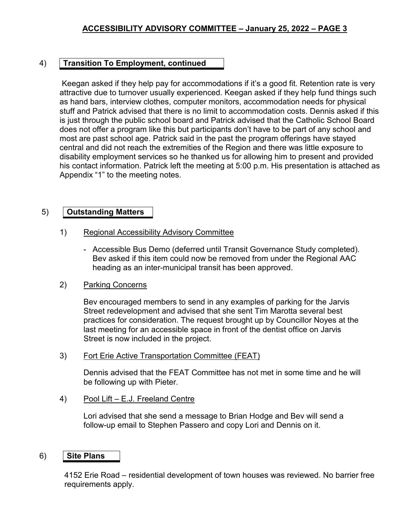#### 4) **Transition To Employment, continued**

Keegan asked if they help pay for accommodations if it's a good fit. Retention rate is very attractive due to turnover usually experienced. Keegan asked if they help fund things such as hand bars, interview clothes, computer monitors, accommodation needs for physical stuff and Patrick advised that there is no limit to accommodation costs. Dennis asked if this is just through the public school board and Patrick advised that the Catholic School Board does not offer a program like this but participants don't have to be part of any school and most are past school age. Patrick said in the past the program offerings have stayed central and did not reach the extremities of the Region and there was little exposure to disability employment services so he thanked us for allowing him to present and provided his contact information. Patrick left the meeting at 5:00 p.m. His presentation is attached as Appendix "1" to the meeting notes.

#### 5) **Outstanding Matters**

- 1) Regional Accessibility Advisory Committee
	- Accessible Bus Demo (deferred until Transit Governance Study completed). Bev asked if this item could now be removed from under the Regional AAC heading as an inter-municipal transit has been approved.

#### 2) Parking Concerns

Bev encouraged members to send in any examples of parking for the Jarvis Street redevelopment and advised that she sent Tim Marotta several best practices for consideration. The request brought up by Councillor Noyes at the last meeting for an accessible space in front of the dentist office on Jarvis Street is now included in the project.

3) Fort Erie Active Transportation Committee (FEAT)

Dennis advised that the FEAT Committee has not met in some time and he will be following up with Pieter.

4) Pool Lift – E.J. Freeland Centre

Lori advised that she send a message to Brian Hodge and Bev will send a follow-up email to Stephen Passero and copy Lori and Dennis on it.

#### 6) **Site Plans**

4152 Erie Road – residential development of town houses was reviewed. No barrier free requirements apply.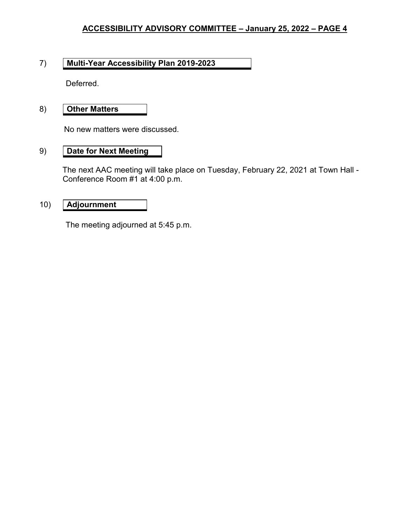#### **ACCESSIBILITY ADVISORY COMMITTEE – January 25, 2022 – PAGE 4**

#### 7) **Multi-Year Accessibility Plan 2019-2023**

Deferred.

#### 8) **Other Matters**

No new matters were discussed.

#### 9) **Date for Next Meeting**

The next AAC meeting will take place on Tuesday, February 22, 2021 at Town Hall - Conference Room #1 at 4:00 p.m.

#### 10) **Adjournment**

The meeting adjourned at 5:45 p.m.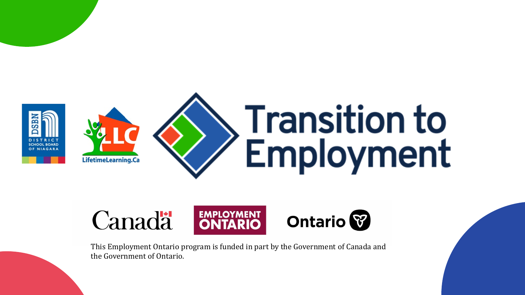

## **EMPLOYMENT**<br>**ONTARIO** Canadä

This Employment Ontario program is funded in part by the Government of Canada and the Government of Ontario.

# **Transition to** Employment



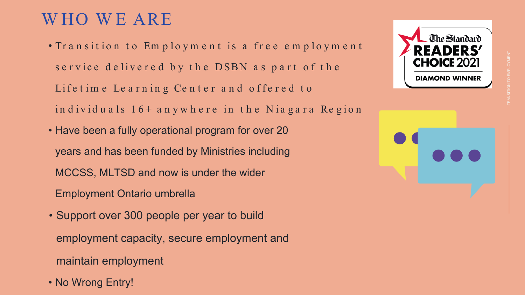- Tr a n s it io n t o Em p lo ym e n t is a fr e e e m p lo ym e n t service delivered by the DSBN as part of the Life time Learning Center and offered to in d ividuals  $16+$  anywhere in the Niagara Region
- Have been a fully operational program for over 20 years and has been funded by Ministries including MCCSS, MLTSD and now is under the wider Employment Ontario umbrella
- Support over 300 people per year to build employment capacity, secure employment and maintain employment
- No Wrong Entry!









# WHO WE ARE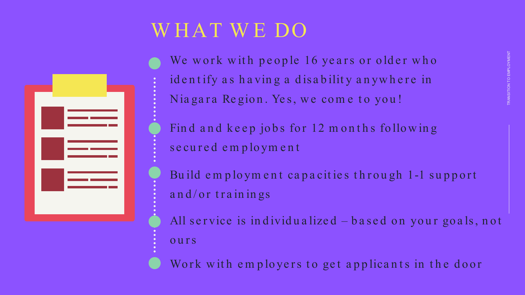# WHAT WE DO



We work with people 16 years or older who identify as having a disability anywhere in Nia gara Region. Yes, we come to you!

Find and keep jobs for 12 months following secu red em ploym en t

Build employment capacities through 1-1 support and/or trainings

All service is individualized – based on your goals, not

ours

Work with employers to get applicants in the door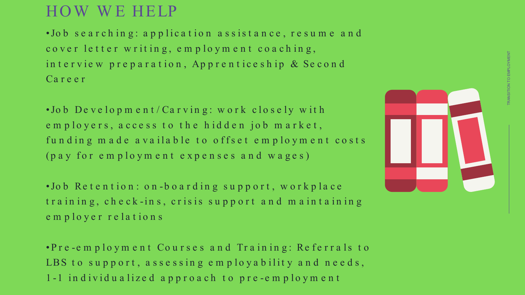•Jo b s e a r c h in g : a p p lic a t io n a s s is t a n c e , r e s u m e a n d cover letter writing, employment coaching, in t e r vie w p r e p a r a t ion, Ap p r e n t ice s h ip & Se c o n d Ca r e e r

•Jo b De v e lo p m e n t / Ca r v in g : w o r k c lo s e ly w it h em ployers, a ccess t o t h e h idden job m a rket , funding made available to offset employment costs (pa y for e m ploym e n t e xpe n se s a n d w a ge s)

•Jo b Re t e n t io n : o n -boa rdin g su pport , workpla ce t ra in in g, ch eck -in s, crisis su pport a n d m a in t a in in g em ployer rela t ion s

•Pre -e m p lo ym e n t Co u r s e s a n d Tr a in in g: Re fe r r a ls t o LBS to support, assessing employability and needs, 1 -1 in dividu a lized a pproa ch t o pre -em ploym en t

# HO W W E HELP

TRANSITION TO EMPLOYMENT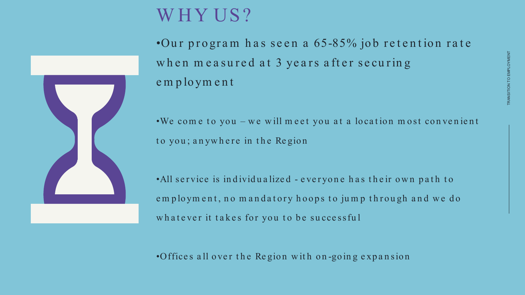•Our program has seen a  $65-85%$  job retention rate when measured at 3 years after securing em ploym en t

•We come to you – we will meet you at a location most convenient to you; anywhere in the Region

•All service is individualized - everyone has their own path to employment, no mandatory hoops to jump through and we do what ever it takes for you to be successful

•Offices all over the Region with on-going expansion



# W HY US ?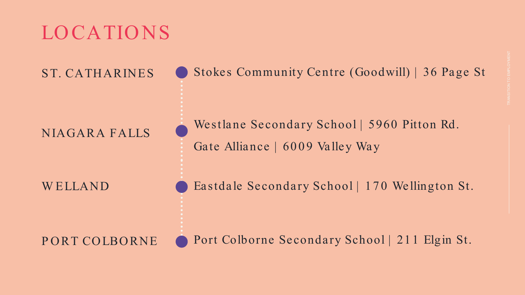### Stokes Community Centre (Goodwill) | 36 Page St

- 
- 

Port Colborne Secondary School | 21 1 Elgin St.